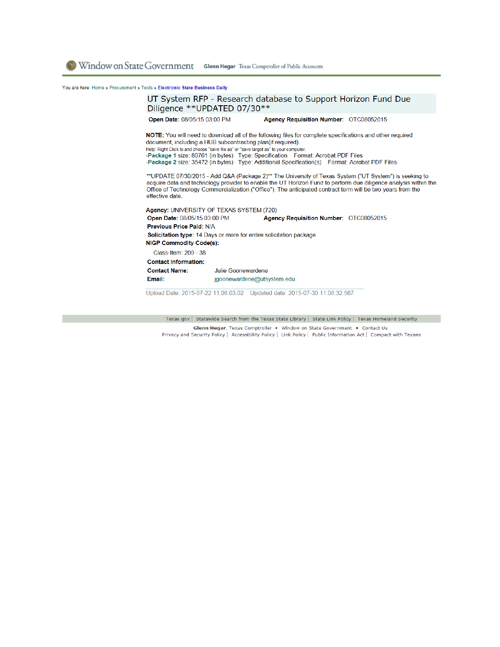You are here: Home » Procurement » Tools » Electronic State Business Daily

## UT System RFP - Research database to Support Horizon Fund Due Diligence \*\* UPDATED 07/30\*\* Open Date: 08/05/15 03:00 PM Agency Requisition Number: OTC08052015 NOTE: You will need to download all of the following files for complete specifications and other required document, including a HUB subcontracting plan(if required). Help: Right Click to and choose "save file as" or "save target as" to your computer Package 1 size: 80761 (in bytes) Type: Specification Format: Acrobat PDF Files<br>-Package 1 size: 80761 (in bytes) Type: Specification Format: Acrobat PDF Files \*\*UPDATE 07/30/2015 - Add Q&A (Package 2)\*\* The University of Texas System ("UT System") is seeking to acquire data and technology provider to enable the UT Horizon Fund to perform due diligence analysis within the Office of Technology Commercialization ("Office"). The anticipated contract term will be two years from the effective date. Agency: UNIVERSITY OF TEXAS SYSTEM (720) Open Date: 08/05/15 03:00 PM Agency Requisition Number: OTC08052015 Previous Price Paid: N/A Solicitation type: 14 Days or more for entire solicitation package **NIGP Commodity Code(s):** Class-Item: 209 - 38 **Contact Information: Contact Name:** Julie Goonewardene Email: jgoonewardene@utsystem.edu Upload Date: 2015-07-22 11:06:03.02 Updated date: 2015-07-30 11:08:32.567

Texas.gov | Statewide Search from the Texas State Library | State Link Policy | Texas Homeland Security Glenn Hegar, Texas Comptroller . Window on State Government . Contact Us Privacy and Security Policy | Accessibility Policy | Link Policy | Public Information Act | Compact with Texans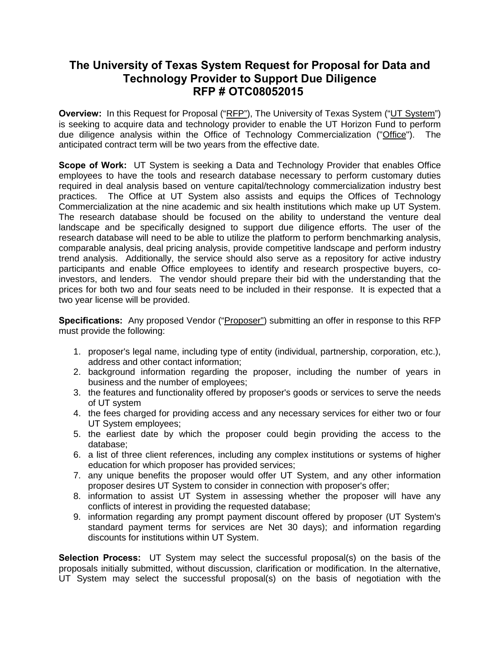## **The University of Texas System Request for Proposal for Data and Technology Provider to Support Due Diligence RFP # OTC08052015**

**Overview:** In this Request for Proposal ("RFP"), The University of Texas System ("UT System") is seeking to acquire data and technology provider to enable the UT Horizon Fund to perform due diligence analysis within the Office of Technology Commercialization ("Office"). The anticipated contract term will be two years from the effective date.

**Scope of Work:** UT System is seeking a Data and Technology Provider that enables Office employees to have the tools and research database necessary to perform customary duties required in deal analysis based on venture capital/technology commercialization industry best practices. The Office at UT System also assists and equips the Offices of Technology Commercialization at the nine academic and six health institutions which make up UT System. The research database should be focused on the ability to understand the venture deal landscape and be specifically designed to support due diligence efforts. The user of the research database will need to be able to utilize the platform to perform benchmarking analysis, comparable analysis, deal pricing analysis, provide competitive landscape and perform industry trend analysis. Additionally, the service should also serve as a repository for active industry participants and enable Office employees to identify and research prospective buyers, coinvestors, and lenders. The vendor should prepare their bid with the understanding that the prices for both two and four seats need to be included in their response. It is expected that a two year license will be provided.

**Specifications:** Any proposed Vendor ("Proposer") submitting an offer in response to this RFP must provide the following:

- 1. proposer's legal name, including type of entity (individual, partnership, corporation, etc.), address and other contact information;
- 2. background information regarding the proposer, including the number of years in business and the number of employees;
- 3. the features and functionality offered by proposer's goods or services to serve the needs of UT system
- 4. the fees charged for providing access and any necessary services for either two or four UT System employees;
- 5. the earliest date by which the proposer could begin providing the access to the database;
- 6. a list of three client references, including any complex institutions or systems of higher education for which proposer has provided services;
- 7. any unique benefits the proposer would offer UT System, and any other information proposer desires UT System to consider in connection with proposer's offer;
- 8. information to assist UT System in assessing whether the proposer will have any conflicts of interest in providing the requested database;
- 9. information regarding any prompt payment discount offered by proposer (UT System's standard payment terms for services are Net 30 days); and information regarding discounts for institutions within UT System.

**Selection Process:** UT System may select the successful proposal(s) on the basis of the proposals initially submitted, without discussion, clarification or modification. In the alternative, UT System may select the successful proposal(s) on the basis of negotiation with the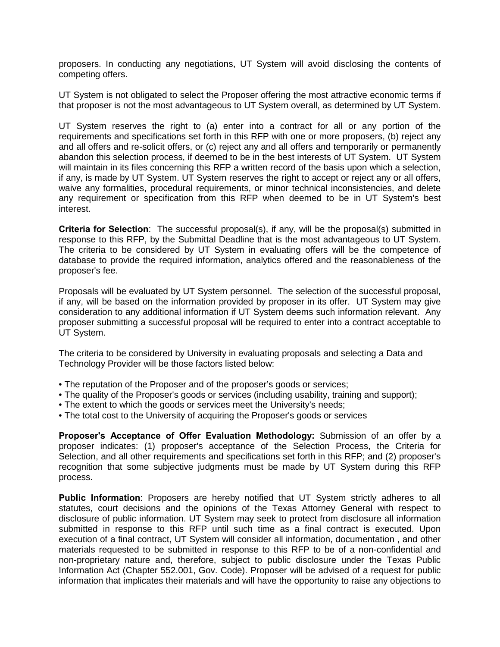proposers. In conducting any negotiations, UT System will avoid disclosing the contents of competing offers.

UT System is not obligated to select the Proposer offering the most attractive economic terms if that proposer is not the most advantageous to UT System overall, as determined by UT System.

UT System reserves the right to (a) enter into a contract for all or any portion of the requirements and specifications set forth in this RFP with one or more proposers, (b) reject any and all offers and re-solicit offers, or (c) reject any and all offers and temporarily or permanently abandon this selection process, if deemed to be in the best interests of UT System. UT System will maintain in its files concerning this RFP a written record of the basis upon which a selection, if any, is made by UT System. UT System reserves the right to accept or reject any or all offers, waive any formalities, procedural requirements, or minor technical inconsistencies, and delete any requirement or specification from this RFP when deemed to be in UT System's best interest.

**Criteria for Selection**: The successful proposal(s), if any, will be the proposal(s) submitted in response to this RFP, by the Submittal Deadline that is the most advantageous to UT System. The criteria to be considered by UT System in evaluating offers will be the competence of database to provide the required information, analytics offered and the reasonableness of the proposer's fee.

Proposals will be evaluated by UT System personnel. The selection of the successful proposal, if any, will be based on the information provided by proposer in its offer. UT System may give consideration to any additional information if UT System deems such information relevant. Any proposer submitting a successful proposal will be required to enter into a contract acceptable to UT System.

The criteria to be considered by University in evaluating proposals and selecting a Data and Technology Provider will be those factors listed below:

- The reputation of the Proposer and of the proposer's goods or services;
- The quality of the Proposer's goods or services (including usability, training and support);
- The extent to which the goods or services meet the University's needs;
- The total cost to the University of acquiring the Proposer's goods or services

**Proposer's Acceptance of Offer Evaluation Methodology:** Submission of an offer by a proposer indicates: (1) proposer's acceptance of the Selection Process, the Criteria for Selection, and all other requirements and specifications set forth in this RFP; and (2) proposer's recognition that some subjective judgments must be made by UT System during this RFP process.

**Public Information**: Proposers are hereby notified that UT System strictly adheres to all statutes, court decisions and the opinions of the Texas Attorney General with respect to disclosure of public information. UT System may seek to protect from disclosure all information submitted in response to this RFP until such time as a final contract is executed. Upon execution of a final contract, UT System will consider all information, documentation , and other materials requested to be submitted in response to this RFP to be of a non-confidential and non-proprietary nature and, therefore, subject to public disclosure under the Texas Public Information Act (Chapter 552.001, Gov. Code). Proposer will be advised of a request for public information that implicates their materials and will have the opportunity to raise any objections to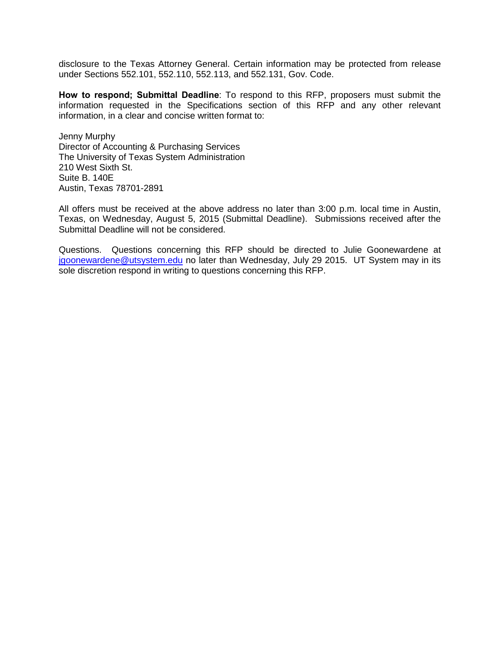disclosure to the Texas Attorney General. Certain information may be protected from release under Sections 552.101, 552.110, 552.113, and 552.131, Gov. Code.

**How to respond; Submittal Deadline**: To respond to this RFP, proposers must submit the information requested in the Specifications section of this RFP and any other relevant information, in a clear and concise written format to:

Jenny Murphy Director of Accounting & Purchasing Services The University of Texas System Administration 210 West Sixth St. Suite B. 140E Austin, Texas 78701-2891

All offers must be received at the above address no later than 3:00 p.m. local time in Austin, Texas, on Wednesday, August 5, 2015 (Submittal Deadline). Submissions received after the Submittal Deadline will not be considered.

Questions. Questions concerning this RFP should be directed to Julie Goonewardene at [jgoonewardene@utsystem.edu](mailto:jgoonewardene@utsystem.edu) no later than Wednesday, July 29 2015. UT System may in its sole discretion respond in writing to questions concerning this RFP.